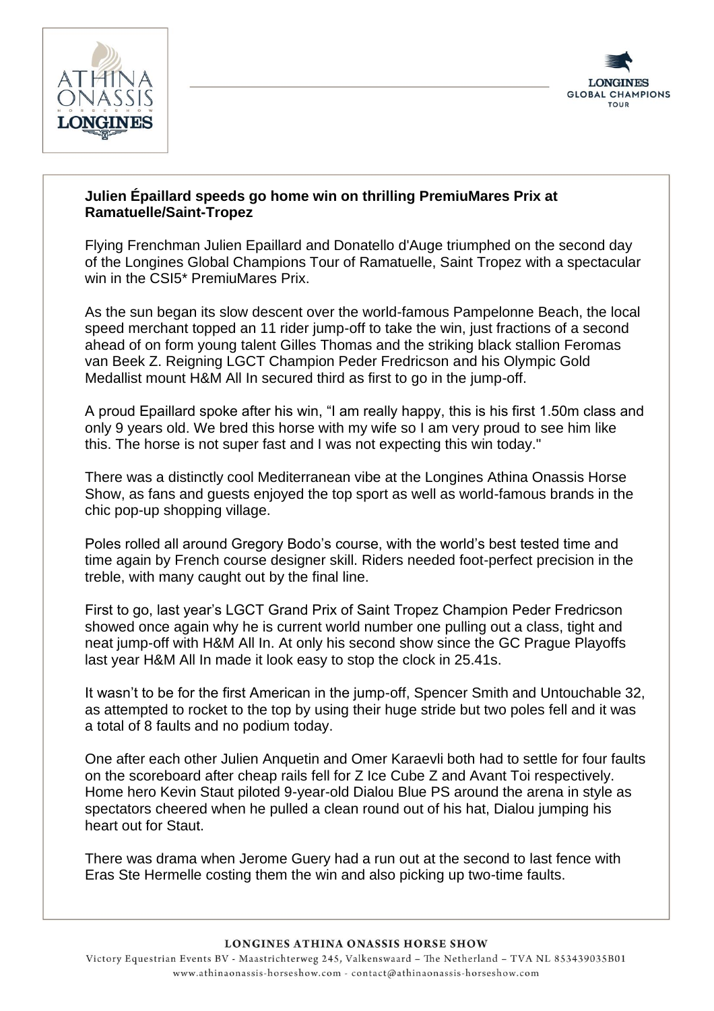



## **Julien Épaillard speeds go home win on thrilling PremiuMares Prix at Ramatuelle/Saint-Tropez**

Flying Frenchman Julien Epaillard and Donatello d'Auge triumphed on the second day of the Longines Global Champions Tour of Ramatuelle, Saint Tropez with a spectacular win in the CSI5\* PremiuMares Prix.

As the sun began its slow descent over the world-famous Pampelonne Beach, the local speed merchant topped an 11 rider jump-off to take the win, just fractions of a second ahead of on form young talent Gilles Thomas and the striking black stallion Feromas van Beek Z. Reigning LGCT Champion Peder Fredricson and his Olympic Gold Medallist mount H&M All In secured third as first to go in the jump-off.

A proud Epaillard spoke after his win, "I am really happy, this is his first 1.50m class and only 9 years old. We bred this horse with my wife so I am very proud to see him like this. The horse is not super fast and I was not expecting this win today."

There was a distinctly cool Mediterranean vibe at the Longines Athina Onassis Horse Show, as fans and guests enjoyed the top sport as well as world-famous brands in the chic pop-up shopping village.

Poles rolled all around Gregory Bodo's course, with the world's best tested time and time again by French course designer skill. Riders needed foot-perfect precision in the treble, with many caught out by the final line.

First to go, last year's LGCT Grand Prix of Saint Tropez Champion Peder Fredricson showed once again why he is current world number one pulling out a class, tight and neat jump-off with H&M All In. At only his second show since the GC Prague Playoffs last year H&M All In made it look easy to stop the clock in 25.41s.

It wasn't to be for the first American in the jump-off, Spencer Smith and Untouchable 32, as attempted to rocket to the top by using their huge stride but two poles fell and it was a total of 8 faults and no podium today.

One after each other Julien Anquetin and Omer Karaevli both had to settle for four faults on the scoreboard after cheap rails fell for Z Ice Cube Z and Avant Toi respectively. Home hero Kevin Staut piloted 9-year-old Dialou Blue PS around the arena in style as spectators cheered when he pulled a clean round out of his hat, Dialou jumping his heart out for Staut.

There was drama when Jerome Guery had a run out at the second to last fence with Eras Ste Hermelle costing them the win and also picking up two-time faults.